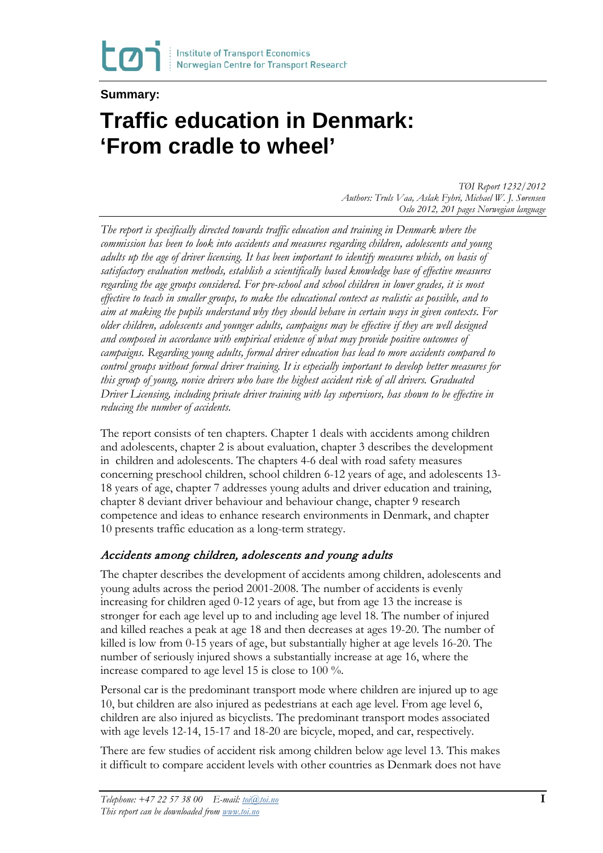### **Summary:**

**CO** 

# **Traffic education in Denmark: 'From cradle to wheel'**

*TØI Report 1232/2012 Authors: Truls Vaa, Aslak Fyhri, Michael W. J. Sørensen Oslo 2012, 201 pages Norwegian language*

*The report is specifically directed towards traffic education and training in Denmark where the commission has been to look into accidents and measures regarding children, adolescents and young adults up the age of driver licensing. It has been important to identify measures which, on basis of satisfactory evaluation methods, establish a scientifically based knowledge base of effective measures regarding the age groups considered. For pre-school and school children in lower grades, it is most effective to teach in smaller groups, to make the educational context as realistic as possible, and to aim at making the pupils understand why they should behave in certain ways in given contexts. For older children, adolescents and younger adults, campaigns may be effective if they are well designed and composed in accordance with empirical evidence of what may provide positive outcomes of campaigns. Regarding young adults, formal driver education has lead to more accidents compared to control groups without formal driver training. It is especially important to develop better measures for this group of young, novice drivers who have the highest accident risk of all drivers. Graduated Driver Licensing, including private driver training with lay supervisors, has shown to be effective in reducing the number of accidents.*

The report consists of ten chapters. Chapter 1 deals with accidents among children and adolescents, chapter 2 is about evaluation, chapter 3 describes the development in children and adolescents. The chapters 4-6 deal with road safety measures concerning preschool children, school children 6-12 years of age, and adolescents 13- 18 years of age, chapter 7 addresses young adults and driver education and training, chapter 8 deviant driver behaviour and behaviour change, chapter 9 research competence and ideas to enhance research environments in Denmark, and chapter 10 presents traffic education as a long-term strategy.

#### Accidents among children, adolescents and young adults

The chapter describes the development of accidents among children, adolescents and young adults across the period 2001-2008. The number of accidents is evenly increasing for children aged 0-12 years of age, but from age 13 the increase is stronger for each age level up to and including age level 18. The number of injured and killed reaches a peak at age 18 and then decreases at ages 19-20. The number of killed is low from 0-15 years of age, but substantially higher at age levels 16-20. The number of seriously injured shows a substantially increase at age 16, where the increase compared to age level 15 is close to 100 %.

Personal car is the predominant transport mode where children are injured up to age 10, but children are also injured as pedestrians at each age level. From age level 6, children are also injured as bicyclists. The predominant transport modes associated with age levels 12-14, 15-17 and 18-20 are bicycle, moped, and car, respectively.

There are few studies of accident risk among children below age level 13. This makes it difficult to compare accident levels with other countries as Denmark does not have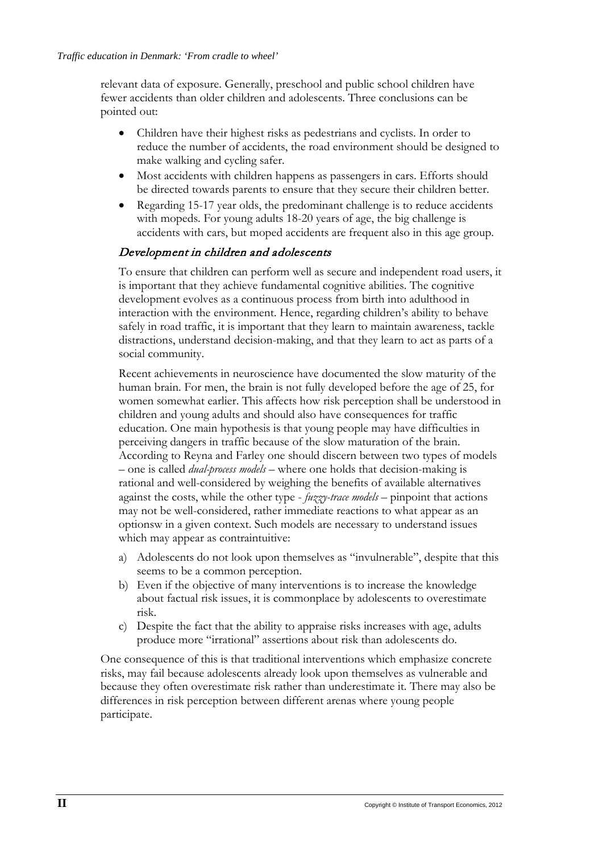relevant data of exposure. Generally, preschool and public school children have fewer accidents than older children and adolescents. Three conclusions can be pointed out:

- Children have their highest risks as pedestrians and cyclists. In order to reduce the number of accidents, the road environment should be designed to make walking and cycling safer.
- Most accidents with children happens as passengers in cars. Efforts should be directed towards parents to ensure that they secure their children better.
- Regarding 15-17 year olds, the predominant challenge is to reduce accidents with mopeds. For young adults 18-20 years of age, the big challenge is accidents with cars, but moped accidents are frequent also in this age group.

#### Development in children and adolescents

To ensure that children can perform well as secure and independent road users, it is important that they achieve fundamental cognitive abilities. The cognitive development evolves as a continuous process from birth into adulthood in interaction with the environment. Hence, regarding children's ability to behave safely in road traffic, it is important that they learn to maintain awareness, tackle distractions, understand decision-making, and that they learn to act as parts of a social community.

Recent achievements in neuroscience have documented the slow maturity of the human brain. For men, the brain is not fully developed before the age of 25, for women somewhat earlier. This affects how risk perception shall be understood in children and young adults and should also have consequences for traffic education. One main hypothesis is that young people may have difficulties in perceiving dangers in traffic because of the slow maturation of the brain. According to Reyna and Farley one should discern between two types of models – one is called *dual-process models* – where one holds that decision-making is rational and well-considered by weighing the benefits of available alternatives against the costs, while the other type - *fuzzy-trace models* – pinpoint that actions may not be well-considered, rather immediate reactions to what appear as an optionsw in a given context. Such models are necessary to understand issues which may appear as contraintuitive:

- a) Adolescents do not look upon themselves as "invulnerable", despite that this seems to be a common perception.
- b) Even if the objective of many interventions is to increase the knowledge about factual risk issues, it is commonplace by adolescents to overestimate risk.
- c) Despite the fact that the ability to appraise risks increases with age, adults produce more "irrational" assertions about risk than adolescents do.

One consequence of this is that traditional interventions which emphasize concrete risks, may fail because adolescents already look upon themselves as vulnerable and because they often overestimate risk rather than underestimate it. There may also be differences in risk perception between different arenas where young people participate.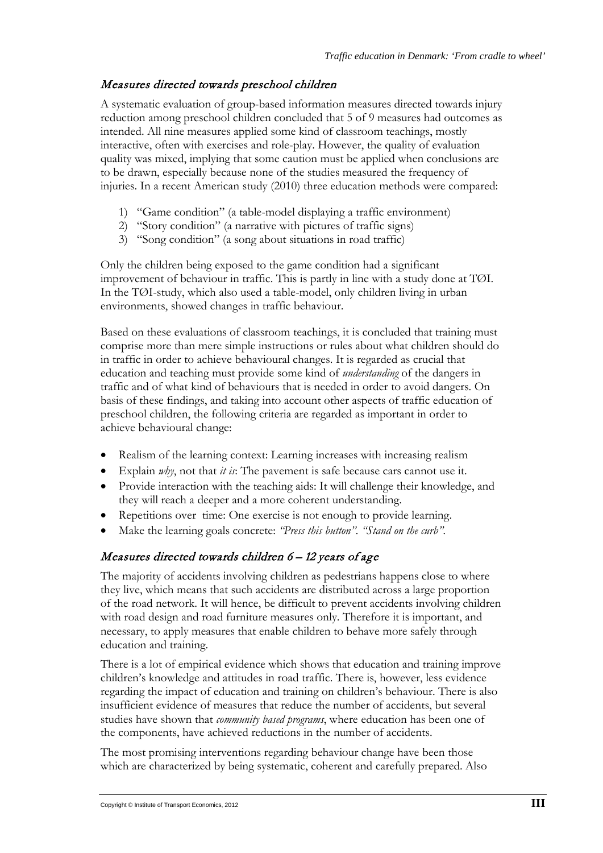## Measures directed towards preschool children

A systematic evaluation of group-based information measures directed towards injury reduction among preschool children concluded that 5 of 9 measures had outcomes as intended. All nine measures applied some kind of classroom teachings, mostly interactive, often with exercises and role-play. However, the quality of evaluation quality was mixed, implying that some caution must be applied when conclusions are to be drawn, especially because none of the studies measured the frequency of injuries. In a recent American study (2010) three education methods were compared:

- 1) "Game condition" (a table-model displaying a traffic environment)
- 2) "Story condition" (a narrative with pictures of traffic signs)
- 3) "Song condition" (a song about situations in road traffic)

Only the children being exposed to the game condition had a significant improvement of behaviour in traffic. This is partly in line with a study done at TØI. In the TØI-study, which also used a table-model, only children living in urban environments, showed changes in traffic behaviour.

Based on these evaluations of classroom teachings, it is concluded that training must comprise more than mere simple instructions or rules about what children should do in traffic in order to achieve behavioural changes. It is regarded as crucial that education and teaching must provide some kind of *understanding* of the dangers in traffic and of what kind of behaviours that is needed in order to avoid dangers. On basis of these findings, and taking into account other aspects of traffic education of preschool children, the following criteria are regarded as important in order to achieve behavioural change:

- Realism of the learning context: Learning increases with increasing realism
- Explain *why*, not that *it is*: The pavement is safe because cars cannot use it.
- Provide interaction with the teaching aids: It will challenge their knowledge, and they will reach a deeper and a more coherent understanding.
- Repetitions over time: One exercise is not enough to provide learning.
- Make the learning goals concrete: *"Press this button". "Stand on the curb".*

# Measures directed towards children 6 – 12 years of age

The majority of accidents involving children as pedestrians happens close to where they live, which means that such accidents are distributed across a large proportion of the road network. It will hence, be difficult to prevent accidents involving children with road design and road furniture measures only. Therefore it is important, and necessary, to apply measures that enable children to behave more safely through education and training.

There is a lot of empirical evidence which shows that education and training improve children's knowledge and attitudes in road traffic. There is, however, less evidence regarding the impact of education and training on children's behaviour. There is also insufficient evidence of measures that reduce the number of accidents, but several studies have shown that *community based programs*, where education has been one of the components, have achieved reductions in the number of accidents.

The most promising interventions regarding behaviour change have been those which are characterized by being systematic, coherent and carefully prepared. Also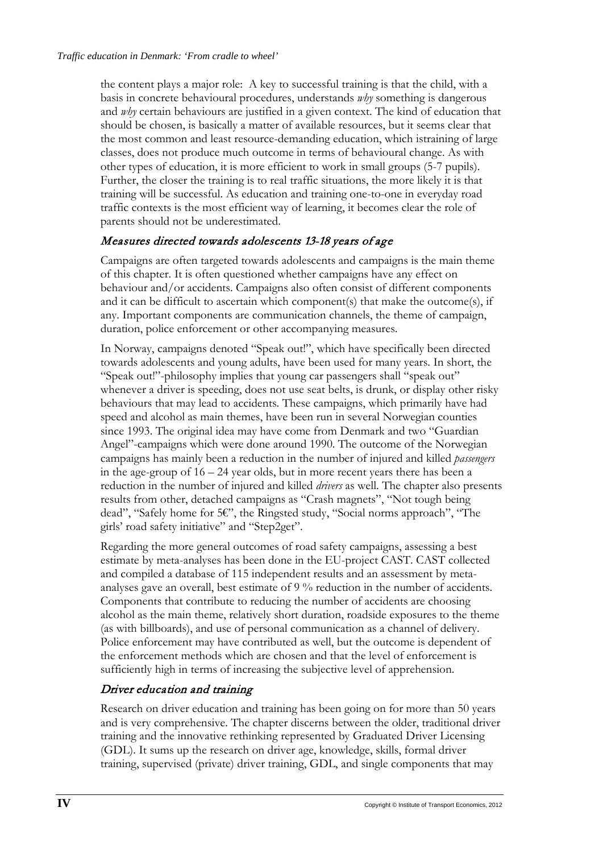the content plays a major role: A key to successful training is that the child, with a basis in concrete behavioural procedures, understands *why* something is dangerous and *why* certain behaviours are justified in a given context. The kind of education that should be chosen, is basically a matter of available resources, but it seems clear that the most common and least resource-demanding education, which istraining of large classes, does not produce much outcome in terms of behavioural change. As with other types of education, it is more efficient to work in small groups (5-7 pupils). Further, the closer the training is to real traffic situations, the more likely it is that training will be successful. As education and training one-to-one in everyday road traffic contexts is the most efficient way of learning, it becomes clear the role of parents should not be underestimated.

## Measures directed towards adolescents 13-18 years of age

Campaigns are often targeted towards adolescents and campaigns is the main theme of this chapter. It is often questioned whether campaigns have any effect on behaviour and/or accidents. Campaigns also often consist of different components and it can be difficult to ascertain which component(s) that make the outcome(s), if any. Important components are communication channels, the theme of campaign, duration, police enforcement or other accompanying measures.

In Norway, campaigns denoted "Speak out!", which have specifically been directed towards adolescents and young adults, have been used for many years. In short, the "Speak out!"-philosophy implies that young car passengers shall "speak out" whenever a driver is speeding, does not use seat belts, is drunk, or display other risky behaviours that may lead to accidents. These campaigns, which primarily have had speed and alcohol as main themes, have been run in several Norwegian counties since 1993. The original idea may have come from Denmark and two "Guardian Angel"-campaigns which were done around 1990. The outcome of the Norwegian campaigns has mainly been a reduction in the number of injured and killed *passengers* in the age-group of  $16 - 24$  year olds, but in more recent years there has been a reduction in the number of injured and killed *drivers* as well. The chapter also presents results from other, detached campaigns as "Crash magnets", "Not tough being dead", "Safely home for 5€", the Ringsted study, "Social norms approach", "The girls' road safety initiative" and "Step2get".

Regarding the more general outcomes of road safety campaigns, assessing a best estimate by meta-analyses has been done in the EU-project CAST. CAST collected and compiled a database of 115 independent results and an assessment by metaanalyses gave an overall, best estimate of 9 % reduction in the number of accidents. Components that contribute to reducing the number of accidents are choosing alcohol as the main theme, relatively short duration, roadside exposures to the theme (as with billboards), and use of personal communication as a channel of delivery. Police enforcement may have contributed as well, but the outcome is dependent of the enforcement methods which are chosen and that the level of enforcement is sufficiently high in terms of increasing the subjective level of apprehension.

# Driver education and training

Research on driver education and training has been going on for more than 50 years and is very comprehensive. The chapter discerns between the older, traditional driver training and the innovative rethinking represented by Graduated Driver Licensing (GDL). It sums up the research on driver age, knowledge, skills, formal driver training, supervised (private) driver training, GDL, and single components that may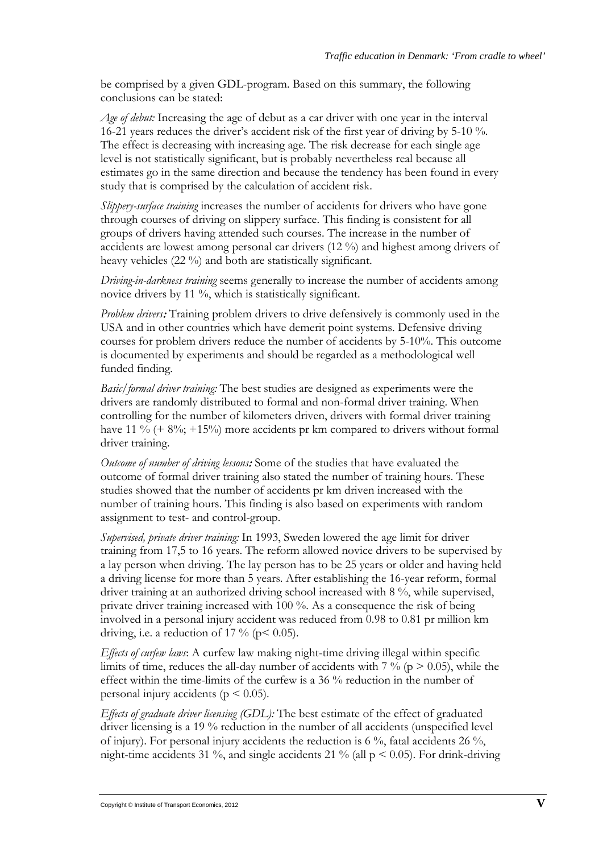be comprised by a given GDL-program. Based on this summary, the following conclusions can be stated:

*Age of debut:* Increasing the age of debut as a car driver with one year in the interval 16-21 years reduces the driver's accident risk of the first year of driving by 5-10 %. The effect is decreasing with increasing age. The risk decrease for each single age level is not statistically significant, but is probably nevertheless real because all estimates go in the same direction and because the tendency has been found in every study that is comprised by the calculation of accident risk.

*Slippery-surface training* increases the number of accidents for drivers who have gone through courses of driving on slippery surface. This finding is consistent for all groups of drivers having attended such courses. The increase in the number of accidents are lowest among personal car drivers (12 %) and highest among drivers of heavy vehicles (22 %) and both are statistically significant.

*Driving-in-darkness training* seems generally to increase the number of accidents among novice drivers by 11 %, which is statistically significant.

*Problem drivers*: Training problem drivers to drive defensively is commonly used in the USA and in other countries which have demerit point systems. Defensive driving courses for problem drivers reduce the number of accidents by 5-10%. This outcome is documented by experiments and should be regarded as a methodological well funded finding.

*Basic/formal driver training:* The best studies are designed as experiments were the drivers are randomly distributed to formal and non-formal driver training. When controlling for the number of kilometers driven, drivers with formal driver training have 11 %  $(+ 8\%; +15\%)$  more accidents pr km compared to drivers without formal driver training.

*Outcome of number of driving lessons*: Some of the studies that have evaluated the outcome of formal driver training also stated the number of training hours. These studies showed that the number of accidents pr km driven increased with the number of training hours. This finding is also based on experiments with random assignment to test- and control-group.

*Supervised, private driver training:* In 1993, Sweden lowered the age limit for driver training from 17,5 to 16 years. The reform allowed novice drivers to be supervised by a lay person when driving. The lay person has to be 25 years or older and having held a driving license for more than 5 years. After establishing the 16-year reform, formal driver training at an authorized driving school increased with 8 %, while supervised, private driver training increased with 100 %. As a consequence the risk of being involved in a personal injury accident was reduced from 0.98 to 0.81 pr million km driving, i.e. a reduction of 17 % ( $p$ < 0.05).

*Effects of curfew laws*: A curfew law making night-time driving illegal within specific limits of time, reduces the all-day number of accidents with  $7\%$  ( $p > 0.05$ ), while the effect within the time-limits of the curfew is a 36 % reduction in the number of personal injury accidents ( $p \leq 0.05$ ).

*Effects of graduate driver licensing (GDL):* The best estimate of the effect of graduated driver licensing is a 19 % reduction in the number of all accidents (unspecified level of injury). For personal injury accidents the reduction is 6 %, fatal accidents 26 %, night-time accidents 31 %, and single accidents 21 % (all  $p < 0.05$ ). For drink-driving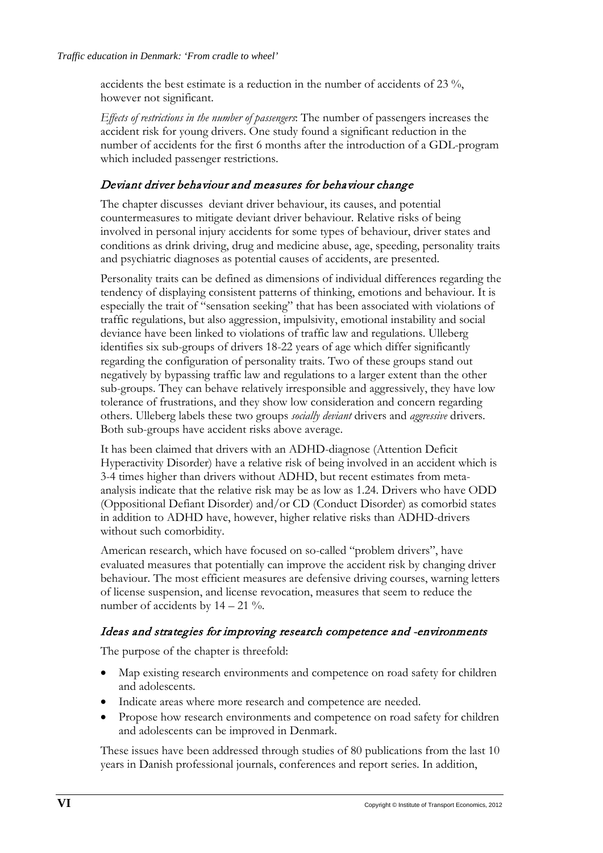accidents the best estimate is a reduction in the number of accidents of 23 %, however not significant.

*Effects of restrictions in the number of passengers*: The number of passengers increases the accident risk for young drivers. One study found a significant reduction in the number of accidents for the first 6 months after the introduction of a GDL-program which included passenger restrictions.

## Deviant driver behaviour and measures for behaviour change

The chapter discusses deviant driver behaviour, its causes, and potential countermeasures to mitigate deviant driver behaviour. Relative risks of being involved in personal injury accidents for some types of behaviour, driver states and conditions as drink driving, drug and medicine abuse, age, speeding, personality traits and psychiatric diagnoses as potential causes of accidents, are presented.

Personality traits can be defined as dimensions of individual differences regarding the tendency of displaying consistent patterns of thinking, emotions and behaviour. It is especially the trait of "sensation seeking" that has been associated with violations of traffic regulations, but also aggression, impulsivity, emotional instability and social deviance have been linked to violations of traffic law and regulations. Ulleberg identifies six sub-groups of drivers 18-22 years of age which differ significantly regarding the configuration of personality traits. Two of these groups stand out negatively by bypassing traffic law and regulations to a larger extent than the other sub-groups. They can behave relatively irresponsible and aggressively, they have low tolerance of frustrations, and they show low consideration and concern regarding others. Ulleberg labels these two groups *socially deviant* drivers and *aggressive* drivers. Both sub-groups have accident risks above average.

It has been claimed that drivers with an ADHD-diagnose (Attention Deficit Hyperactivity Disorder) have a relative risk of being involved in an accident which is 3-4 times higher than drivers without ADHD, but recent estimates from metaanalysis indicate that the relative risk may be as low as 1.24. Drivers who have ODD (Oppositional Defiant Disorder) and/or CD (Conduct Disorder) as comorbid states in addition to ADHD have, however, higher relative risks than ADHD-drivers without such comorbidity.

American research, which have focused on so-called "problem drivers", have evaluated measures that potentially can improve the accident risk by changing driver behaviour. The most efficient measures are defensive driving courses, warning letters of license suspension, and license revocation, measures that seem to reduce the number of accidents by  $14 - 21$  %.

#### Ideas and strategies for improving research competence and -environments

The purpose of the chapter is threefold:

- Map existing research environments and competence on road safety for children and adolescents.
- Indicate areas where more research and competence are needed.
- Propose how research environments and competence on road safety for children and adolescents can be improved in Denmark.

These issues have been addressed through studies of 80 publications from the last 10 years in Danish professional journals, conferences and report series. In addition,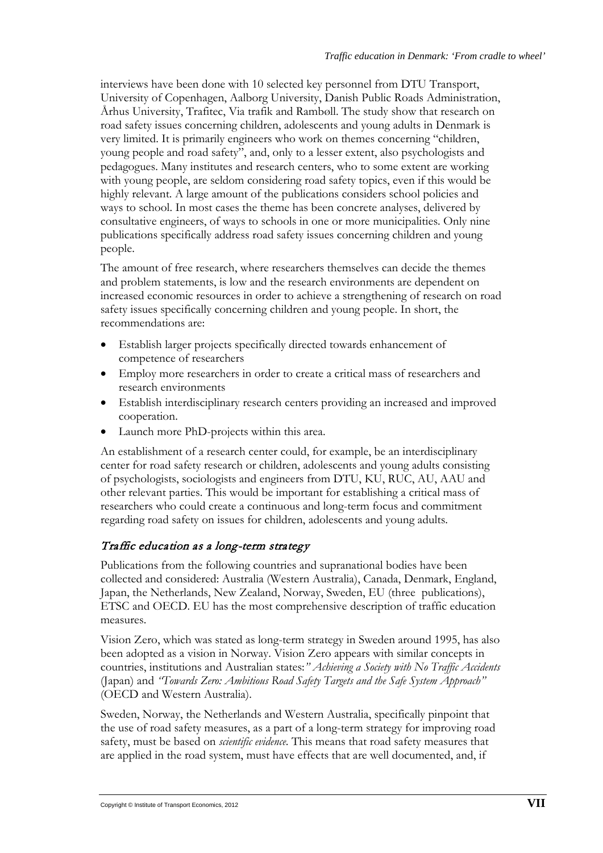interviews have been done with 10 selected key personnel from DTU Transport, University of Copenhagen, Aalborg University, Danish Public Roads Administration, Århus University, Trafitec, Via trafik and Rambøll. The study show that research on road safety issues concerning children, adolescents and young adults in Denmark is very limited. It is primarily engineers who work on themes concerning "children, young people and road safety", and, only to a lesser extent, also psychologists and pedagogues. Many institutes and research centers, who to some extent are working with young people, are seldom considering road safety topics, even if this would be highly relevant. A large amount of the publications considers school policies and ways to school. In most cases the theme has been concrete analyses, delivered by consultative engineers, of ways to schools in one or more municipalities. Only nine publications specifically address road safety issues concerning children and young people.

The amount of free research, where researchers themselves can decide the themes and problem statements, is low and the research environments are dependent on increased economic resources in order to achieve a strengthening of research on road safety issues specifically concerning children and young people. In short, the recommendations are:

- Establish larger projects specifically directed towards enhancement of competence of researchers
- Employ more researchers in order to create a critical mass of researchers and research environments
- Establish interdisciplinary research centers providing an increased and improved cooperation.
- Launch more PhD-projects within this area.

An establishment of a research center could, for example, be an interdisciplinary center for road safety research or children, adolescents and young adults consisting of psychologists, sociologists and engineers from DTU, KU, RUC, AU, AAU and other relevant parties. This would be important for establishing a critical mass of researchers who could create a continuous and long-term focus and commitment regarding road safety on issues for children, adolescents and young adults.

## Traffic education as a long-term strategy

Publications from the following countries and supranational bodies have been collected and considered: Australia (Western Australia), Canada, Denmark, England, Japan, the Netherlands, New Zealand, Norway, Sweden, EU (three publications), ETSC and OECD. EU has the most comprehensive description of traffic education measures.

Vision Zero, which was stated as long-term strategy in Sweden around 1995, has also been adopted as a vision in Norway. Vision Zero appears with similar concepts in countries, institutions and Australian states:*" Achieving a Society with No Traffic Accidents* (Japan) and *"Towards Zero: Ambitious Road Safety Targets and the Safe System Approach"* (OECD and Western Australia).

Sweden, Norway, the Netherlands and Western Australia, specifically pinpoint that the use of road safety measures, as a part of a long-term strategy for improving road safety, must be based on *scientific evidence*. This means that road safety measures that are applied in the road system, must have effects that are well documented, and, if